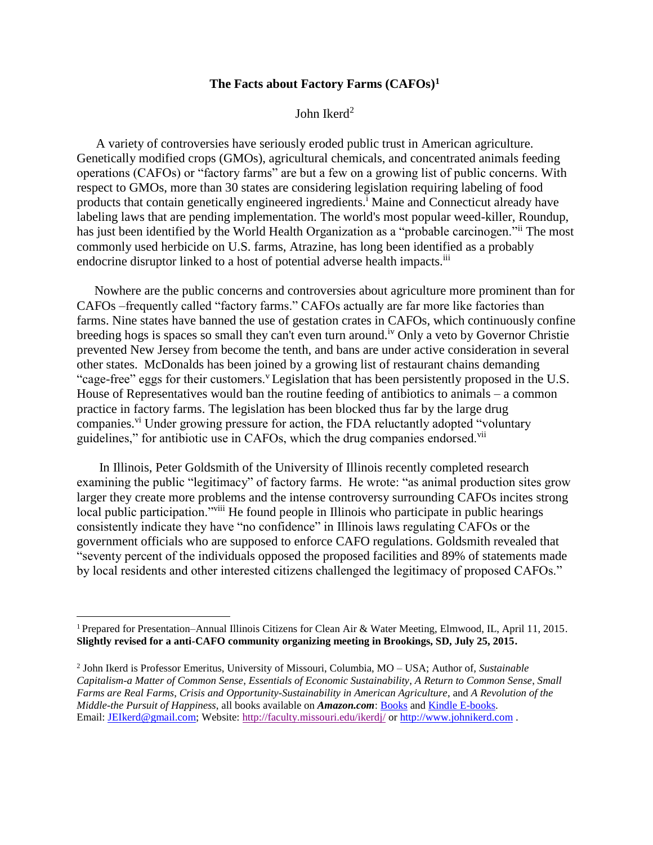## **The Facts about Factory Farms (CAFOs)<sup>1</sup>**

John Ikerd<sup>2</sup>

A variety of controversies have seriously eroded public trust in American agriculture. Genetically modified crops (GMOs), agricultural chemicals, and concentrated animals feeding operations (CAFOs) or "factory farms" are but a few on a growing list of public concerns. With respect to GMOs, more than 30 states are considering legislation requiring labeling of food products that contain genetically engineered ingredients.<sup>i</sup> Maine and Connecticut already have labeling laws that are pending implementation. The world's most popular weed-killer, Roundup, has just been identified by the World Health Organization as a "probable carcinogen." The most commonly used herbicide on U.S. farms, Atrazine, has long been identified as a probably endocrine disruptor linked to a host of potential adverse health impacts.<sup>iii</sup>

Nowhere are the public concerns and controversies about agriculture more prominent than for CAFOs –frequently called "factory farms." CAFOs actually are far more like factories than farms. Nine states have banned the use of gestation crates in CAFOs, which continuously confine breeding hogs is spaces so small they can't even turn around.<sup>iv</sup> Only a veto by Governor Christie prevented New Jersey from become the tenth, and bans are under active consideration in several other states. McDonalds has been joined by a growing list of restaurant chains demanding "cage-free" eggs for their customers." Legislation that has been persistently proposed in the U.S. House of Representatives would ban the routine feeding of antibiotics to animals – a common practice in factory farms. The legislation has been blocked thus far by the large drug companies.<sup>vi</sup> Under growing pressure for action, the FDA reluctantly adopted "voluntary" guidelines," for antibiotic use in CAFOs, which the drug companies endorsed.<sup>vii</sup>

In Illinois, Peter Goldsmith of the University of Illinois recently completed research examining the public "legitimacy" of factory farms. He wrote: "as animal production sites grow larger they create more problems and the intense controversy surrounding CAFOs incites strong local public participation.<sup>"viii</sup> He found people in Illinois who participate in public hearings consistently indicate they have "no confidence" in Illinois laws regulating CAFOs or the government officials who are supposed to enforce CAFO regulations. Goldsmith revealed that "seventy percent of the individuals opposed the proposed facilities and 89% of statements made by local residents and other interested citizens challenged the legitimacy of proposed CAFOs."

 $\overline{a}$ 

<sup>1</sup> Prepared for Presentation–Annual Illinois Citizens for Clean Air & Water Meeting, Elmwood, IL, April 11, 2015. **Slightly revised for a anti-CAFO community organizing meeting in Brookings, SD, July 25, 2015.**

<sup>2</sup> John Ikerd is Professor Emeritus, University of Missouri, Columbia, MO – USA; Author of, *Sustainable Capitalism-a Matter of Common Sense*, *Essentials of Economic Sustainability*, *A Return to Common Sense*, *Small Farms are Real Farms*, *Crisis and Opportunity-Sustainability in American Agriculture*, and *A Revolution of the Middle-the Pursuit of Happiness*, all books available on *Amazon.com*[: Books](;http:/www.amazon.com/John-E.-Ikerd/e/B001JOW2Y8) an[d Kindle E-books.](;http:/www.amazon.com/s/ref=nb_sb_noss_1?url=search-alias%3Ddigital-text&field-keywords=john+ikerd) Email: [JEIkerd@gmail.com;](;mailto:JEIkerd@gmail.com) Website:<http://faculty.missouri.edu/ikerdj/> or [http://www.johnikerd.com](;http:/www.johnikerd.com) .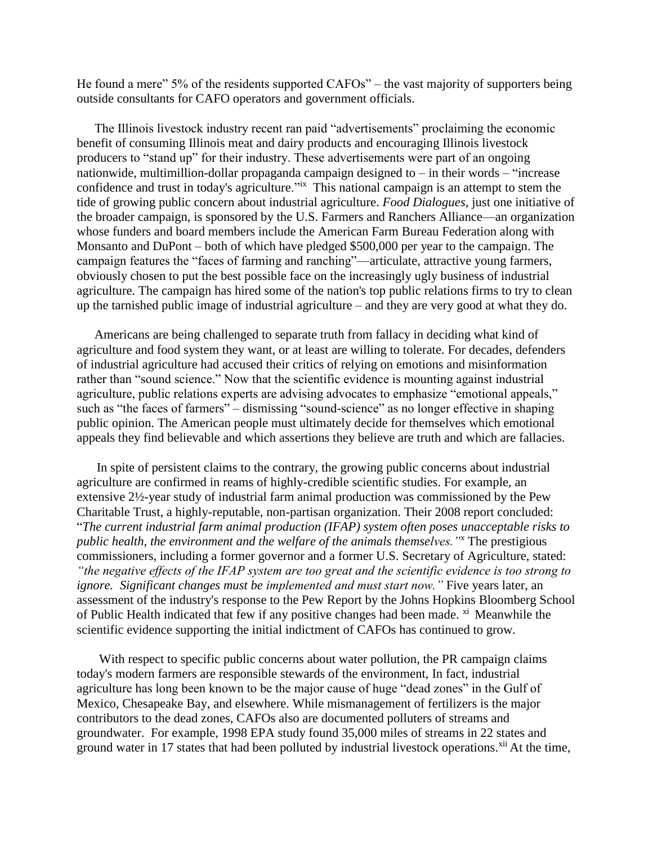He found a mere" 5% of the residents supported CAFOs" – the vast majority of supporters being outside consultants for CAFO operators and government officials.

The Illinois livestock industry recent ran paid "advertisements" proclaiming the economic benefit of consuming Illinois meat and dairy products and encouraging Illinois livestock producers to "stand up" for their industry. These advertisements were part of an ongoing nationwide, multimillion-dollar propaganda campaign designed to – in their words – "increase confidence and trust in today's agriculture."<sup>ix</sup> This national campaign is an attempt to stem the tide of growing public concern about industrial agriculture. *Food Dialogues*, just one initiative of the broader campaign, is sponsored by the U.S. Farmers and Ranchers Alliance—an organization whose funders and board members include the American Farm Bureau Federation along with Monsanto and DuPont – both of which have pledged \$500,000 per year to the campaign. The campaign features the "faces of farming and ranching"—articulate, attractive young farmers, obviously chosen to put the best possible face on the increasingly ugly business of industrial agriculture. The campaign has hired some of the nation's top public relations firms to try to clean up the tarnished public image of industrial agriculture – and they are very good at what they do.

Americans are being challenged to separate truth from fallacy in deciding what kind of agriculture and food system they want, or at least are willing to tolerate. For decades, defenders of industrial agriculture had accused their critics of relying on emotions and misinformation rather than "sound science." Now that the scientific evidence is mounting against industrial agriculture, public relations experts are advising advocates to emphasize "emotional appeals," such as "the faces of farmers" – dismissing "sound-science" as no longer effective in shaping public opinion. The American people must ultimately decide for themselves which emotional appeals they find believable and which assertions they believe are truth and which are fallacies.

In spite of persistent claims to the contrary, the growing public concerns about industrial agriculture are confirmed in reams of highly-credible scientific studies. For example, an extensive 2½-year study of industrial farm animal production was commissioned by the Pew Charitable Trust, a highly-reputable, non-partisan organization. Their 2008 report concluded: "*The current industrial farm animal production (IFAP) system often poses unacceptable risks to public health, the environment and the welfare of the animals themselves."<sup>x</sup>* The prestigious commissioners, including a former governor and a former U.S. Secretary of Agriculture, stated: *"the negative effects of the IFAP system are too great and the scientific evidence is too strong to ignore. Significant changes must be implemented and must start now."* Five years later, an assessment of the industry's response to the Pew Report by the Johns Hopkins Bloomberg School of Public Health indicated that few if any positive changes had been made. <sup>xi</sup> Meanwhile the scientific evidence supporting the initial indictment of CAFOs has continued to grow.

With respect to specific public concerns about water pollution, the PR campaign claims today's modern farmers are responsible stewards of the environment, In fact, industrial agriculture has long been known to be the major cause of huge "dead zones" in the Gulf of Mexico, Chesapeake Bay, and elsewhere. While mismanagement of fertilizers is the major contributors to the dead zones, CAFOs also are documented polluters of streams and groundwater. For example, 1998 EPA study found 35,000 miles of streams in 22 states and ground water in 17 states that had been polluted by industrial livestock operations.<sup>xii</sup> At the time,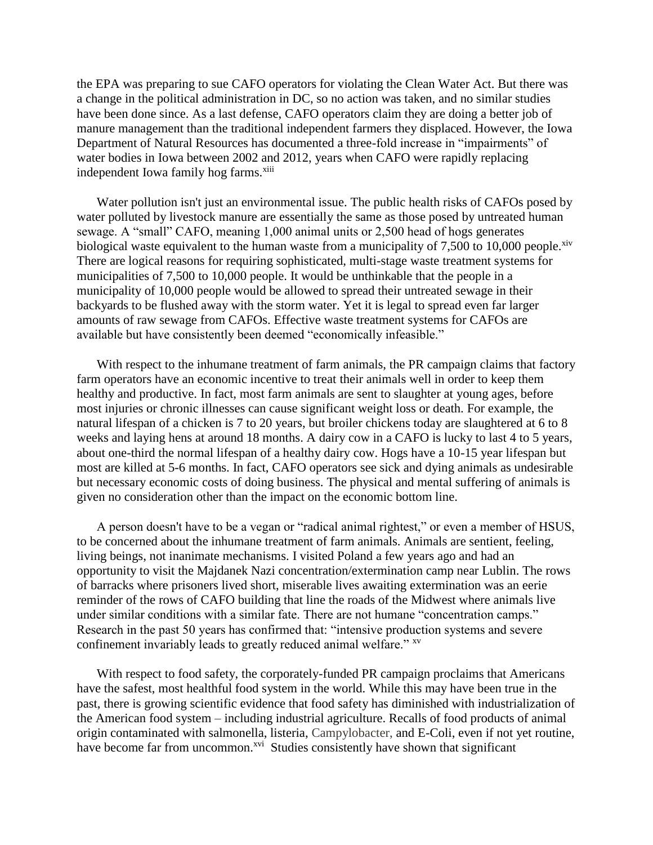the EPA was preparing to sue CAFO operators for violating the Clean Water Act. But there was a change in the political administration in DC, so no action was taken, and no similar studies have been done since. As a last defense, CAFO operators claim they are doing a better job of manure management than the traditional independent farmers they displaced. However, the Iowa Department of Natural Resources has documented a three-fold increase in "impairments" of water bodies in Iowa between 2002 and 2012, years when CAFO were rapidly replacing independent Iowa family hog farms.<sup>xiii</sup>

Water pollution isn't just an environmental issue. The public health risks of CAFOs posed by water polluted by livestock manure are essentially the same as those posed by untreated human sewage. A "small" CAFO, meaning 1,000 animal units or 2,500 head of hogs generates biological waste equivalent to the human waste from a municipality of  $7,500$  to 10,000 people.<sup>xiv</sup> There are logical reasons for requiring sophisticated, multi-stage waste treatment systems for municipalities of 7,500 to 10,000 people. It would be unthinkable that the people in a municipality of 10,000 people would be allowed to spread their untreated sewage in their backyards to be flushed away with the storm water. Yet it is legal to spread even far larger amounts of raw sewage from CAFOs. Effective waste treatment systems for CAFOs are available but have consistently been deemed "economically infeasible."

With respect to the inhumane treatment of farm animals, the PR campaign claims that factory farm operators have an economic incentive to treat their animals well in order to keep them healthy and productive. In fact, most farm animals are sent to slaughter at young ages, before most injuries or chronic illnesses can cause significant weight loss or death. For example, the natural lifespan of a chicken is 7 to 20 years, but broiler chickens today are slaughtered at 6 to 8 weeks and laying hens at around 18 months. A dairy cow in a CAFO is lucky to last 4 to 5 years, about one-third the normal lifespan of a healthy dairy cow. Hogs have a 10-15 year lifespan but most are killed at 5-6 months. In fact, CAFO operators see sick and dying animals as undesirable but necessary economic costs of doing business. The physical and mental suffering of animals is given no consideration other than the impact on the economic bottom line.

A person doesn't have to be a vegan or "radical animal rightest," or even a member of HSUS, to be concerned about the inhumane treatment of farm animals. Animals are sentient, feeling, living beings, not inanimate mechanisms. I visited Poland a few years ago and had an opportunity to visit the Majdanek Nazi concentration/extermination camp near Lublin. The rows of barracks where prisoners lived short, miserable lives awaiting extermination was an eerie reminder of the rows of CAFO building that line the roads of the Midwest where animals live under similar conditions with a similar fate. There are not humane "concentration camps." Research in the past 50 years has confirmed that: "intensive production systems and severe confinement invariably leads to greatly reduced animal welfare." xv

With respect to food safety, the corporately-funded PR campaign proclaims that Americans have the safest, most healthful food system in the world. While this may have been true in the past, there is growing scientific evidence that food safety has diminished with industrialization of the American food system – including industrial agriculture. Recalls of food products of animal origin contaminated with salmonella, listeria, Campylobacter, and E-Coli, even if not yet routine, have become far from uncommon.<sup>xvi</sup> Studies consistently have shown that significant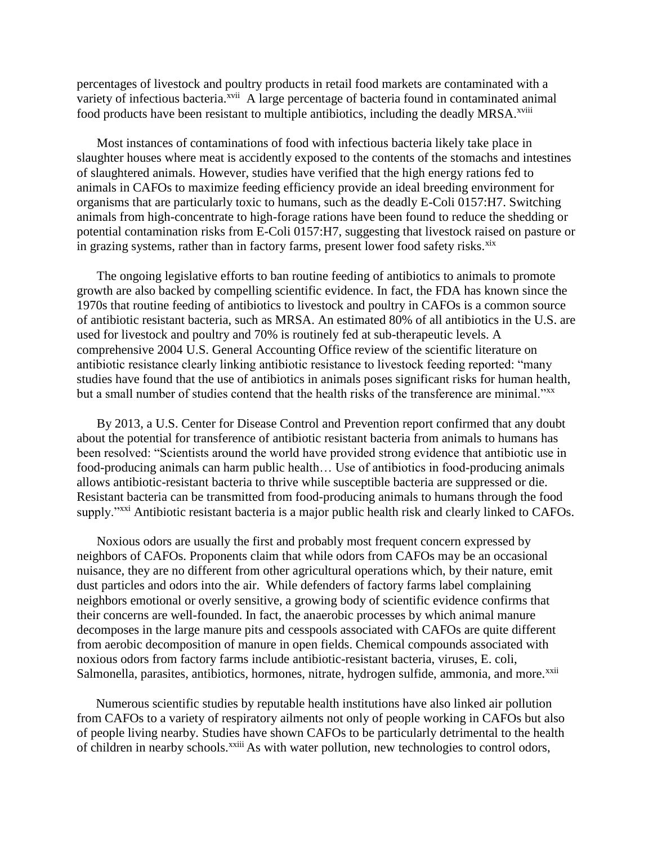percentages of livestock and poultry products in retail food markets are contaminated with a variety of infectious bacteria.<sup>xvii</sup> A large percentage of bacteria found in contaminated animal food products have been resistant to multiple antibiotics, including the deadly MRSA.<sup>xviii</sup>

Most instances of contaminations of food with infectious bacteria likely take place in slaughter houses where meat is accidently exposed to the contents of the stomachs and intestines of slaughtered animals. However, studies have verified that the high energy rations fed to animals in CAFOs to maximize feeding efficiency provide an ideal breeding environment for organisms that are particularly toxic to humans, such as the deadly E-Coli 0157:H7. Switching animals from high-concentrate to high-forage rations have been found to reduce the shedding or potential contamination risks from E-Coli 0157:H7, suggesting that livestock raised on pasture or in grazing systems, rather than in factory farms, present lower food safety risks.<sup>xix</sup>

The ongoing legislative efforts to ban routine feeding of antibiotics to animals to promote growth are also backed by compelling scientific evidence. In fact, the FDA has known since the 1970s that routine feeding of antibiotics to livestock and poultry in CAFOs is a common source of antibiotic resistant bacteria, such as MRSA. An estimated 80% of all antibiotics in the U.S. are used for livestock and poultry and 70% is routinely fed at sub-therapeutic levels. A comprehensive 2004 U.S. General Accounting Office review of the scientific literature on antibiotic resistance clearly linking antibiotic resistance to livestock feeding reported: "many studies have found that the use of antibiotics in animals poses significant risks for human health, but a small number of studies contend that the health risks of the transference are minimal."xx

By 2013, a U.S. Center for Disease Control and Prevention report confirmed that any doubt about the potential for transference of antibiotic resistant bacteria from animals to humans has been resolved: "Scientists around the world have provided strong evidence that antibiotic use in food-producing animals can harm public health… Use of antibiotics in food-producing animals allows antibiotic-resistant bacteria to thrive while susceptible bacteria are suppressed or die. Resistant bacteria can be transmitted from food-producing animals to humans through the food supply."<sup>xxi</sup> Antibiotic resistant bacteria is a major public health risk and clearly linked to CAFOs.

Noxious odors are usually the first and probably most frequent concern expressed by neighbors of CAFOs. Proponents claim that while odors from CAFOs may be an occasional nuisance, they are no different from other agricultural operations which, by their nature, emit dust particles and odors into the air. While defenders of factory farms label complaining neighbors emotional or overly sensitive, a growing body of scientific evidence confirms that their concerns are well-founded. In fact, the anaerobic processes by which animal manure decomposes in the large manure pits and cesspools associated with CAFOs are quite different from aerobic decomposition of manure in open fields. Chemical compounds associated with noxious odors from factory farms include antibiotic-resistant bacteria, viruses, E. coli, Salmonella, parasites, antibiotics, hormones, nitrate, hydrogen sulfide, ammonia, and more.<sup>xxii</sup>

Numerous scientific studies by reputable health institutions have also linked air pollution from CAFOs to a variety of respiratory ailments not only of people working in CAFOs but also of people living nearby. Studies have shown CAFOs to be particularly detrimental to the health of children in nearby schools.<sup>xxiii</sup> As with water pollution, new technologies to control odors,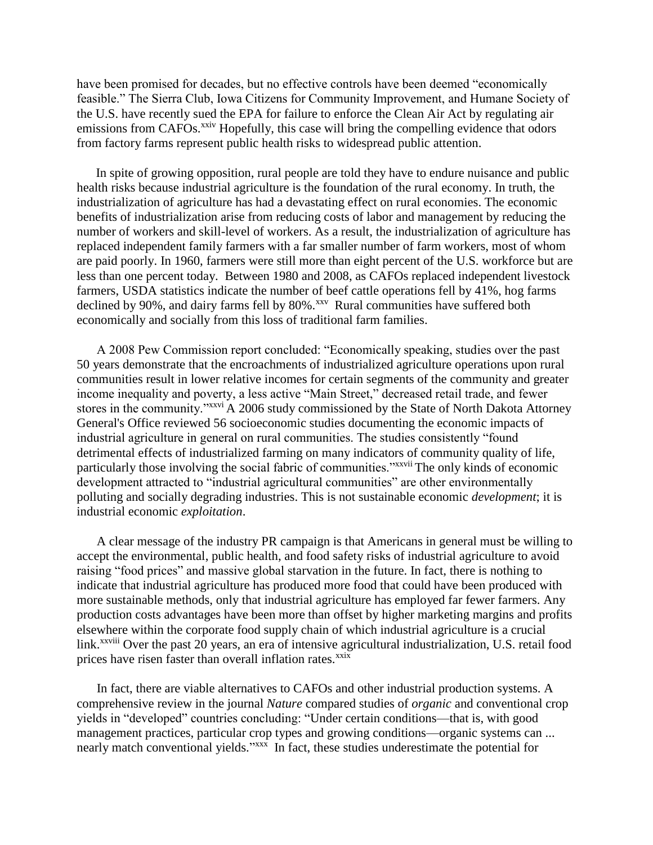have been promised for decades, but no effective controls have been deemed "economically feasible." The Sierra Club, Iowa Citizens for Community Improvement, and Humane Society of the U.S. have recently sued the EPA for failure to enforce the Clean Air Act by regulating air emissions from CAFOs.<sup>xxiv</sup> Hopefully, this case will bring the compelling evidence that odors from factory farms represent public health risks to widespread public attention.

In spite of growing opposition, rural people are told they have to endure nuisance and public health risks because industrial agriculture is the foundation of the rural economy. In truth, the industrialization of agriculture has had a devastating effect on rural economies. The economic benefits of industrialization arise from reducing costs of labor and management by reducing the number of workers and skill-level of workers. As a result, the industrialization of agriculture has replaced independent family farmers with a far smaller number of farm workers, most of whom are paid poorly. In 1960, farmers were still more than eight percent of the U.S. workforce but are less than one percent today. Between 1980 and 2008, as CAFOs replaced independent livestock farmers, USDA statistics indicate the number of beef cattle operations fell by 41%, hog farms declined by  $90\%$ , and dairy farms fell by  $80\%$ .<sup>xxv</sup> Rural communities have suffered both economically and socially from this loss of traditional farm families.

A 2008 Pew Commission report concluded: "Economically speaking, studies over the past 50 years demonstrate that the encroachments of industrialized agriculture operations upon rural communities result in lower relative incomes for certain segments of the community and greater income inequality and poverty, a less active "Main Street," decreased retail trade, and fewer stores in the community."xxvi A 2006 study commissioned by the State of North Dakota Attorney General's Office reviewed 56 socioeconomic studies documenting the economic impacts of industrial agriculture in general on rural communities. The studies consistently "found detrimental effects of industrialized farming on many indicators of community quality of life, particularly those involving the social fabric of communities."xxvii The only kinds of economic development attracted to "industrial agricultural communities" are other environmentally polluting and socially degrading industries. This is not sustainable economic *development*; it is industrial economic *exploitation*.

A clear message of the industry PR campaign is that Americans in general must be willing to accept the environmental, public health, and food safety risks of industrial agriculture to avoid raising "food prices" and massive global starvation in the future. In fact, there is nothing to indicate that industrial agriculture has produced more food that could have been produced with more sustainable methods, only that industrial agriculture has employed far fewer farmers. Any production costs advantages have been more than offset by higher marketing margins and profits elsewhere within the corporate food supply chain of which industrial agriculture is a crucial link.<sup>xxviii</sup> Over the past 20 years, an era of intensive agricultural industrialization, U.S. retail food prices have risen faster than overall inflation rates.<sup>xxix</sup>

In fact, there are viable alternatives to CAFOs and other industrial production systems. A comprehensive review in the journal *Nature* compared studies of *organic* and conventional crop yields in "developed" countries concluding: "Under certain conditions—that is, with good management practices, particular crop types and growing conditions—organic systems can ... nearly match conventional yields."<sup>xxx</sup> In fact, these studies underestimate the potential for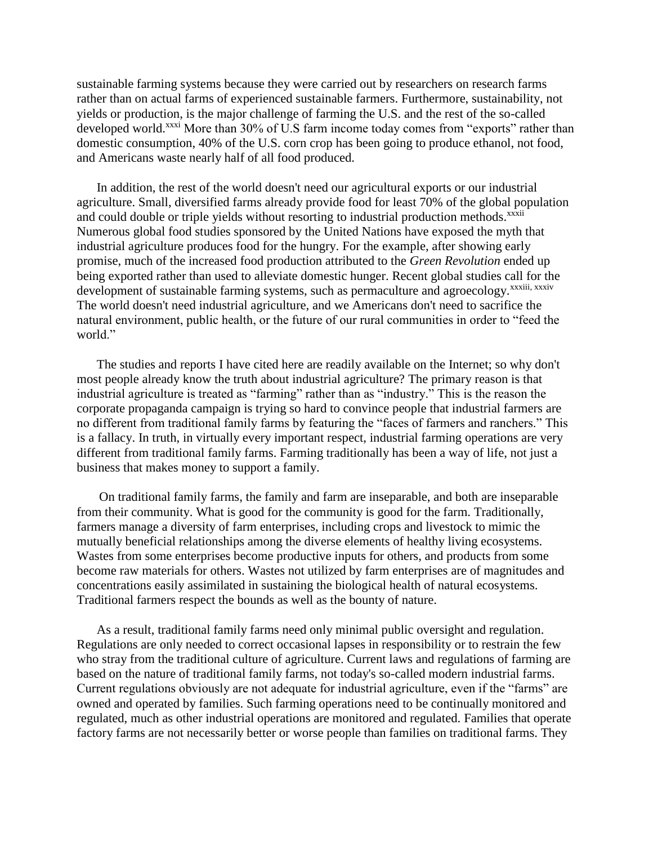sustainable farming systems because they were carried out by researchers on research farms rather than on actual farms of experienced sustainable farmers. Furthermore, sustainability, not yields or production, is the major challenge of farming the U.S. and the rest of the so-called developed world.<sup>xxxi</sup> More than 30% of U.S farm income today comes from "exports" rather than domestic consumption, 40% of the U.S. corn crop has been going to produce ethanol, not food, and Americans waste nearly half of all food produced.

In addition, the rest of the world doesn't need our agricultural exports or our industrial agriculture. Small, diversified farms already provide food for least 70% of the global population and could double or triple yields without resorting to industrial production methods.<sup>xxxii</sup> Numerous global food studies sponsored by the United Nations have exposed the myth that industrial agriculture produces food for the hungry. For the example, after showing early promise, much of the increased food production attributed to the *Green Revolution* ended up being exported rather than used to alleviate domestic hunger. Recent global studies call for the development of sustainable farming systems, such as permaculture and agroecology.<sup>xxxiii, xxxiv</sup> The world doesn't need industrial agriculture, and we Americans don't need to sacrifice the natural environment, public health, or the future of our rural communities in order to "feed the world."

The studies and reports I have cited here are readily available on the Internet; so why don't most people already know the truth about industrial agriculture? The primary reason is that industrial agriculture is treated as "farming" rather than as "industry." This is the reason the corporate propaganda campaign is trying so hard to convince people that industrial farmers are no different from traditional family farms by featuring the "faces of farmers and ranchers." This is a fallacy. In truth, in virtually every important respect, industrial farming operations are very different from traditional family farms. Farming traditionally has been a way of life, not just a business that makes money to support a family.

On traditional family farms, the family and farm are inseparable, and both are inseparable from their community. What is good for the community is good for the farm. Traditionally, farmers manage a diversity of farm enterprises, including crops and livestock to mimic the mutually beneficial relationships among the diverse elements of healthy living ecosystems. Wastes from some enterprises become productive inputs for others, and products from some become raw materials for others. Wastes not utilized by farm enterprises are of magnitudes and concentrations easily assimilated in sustaining the biological health of natural ecosystems. Traditional farmers respect the bounds as well as the bounty of nature.

As a result, traditional family farms need only minimal public oversight and regulation. Regulations are only needed to correct occasional lapses in responsibility or to restrain the few who stray from the traditional culture of agriculture. Current laws and regulations of farming are based on the nature of traditional family farms, not today's so-called modern industrial farms. Current regulations obviously are not adequate for industrial agriculture, even if the "farms" are owned and operated by families. Such farming operations need to be continually monitored and regulated, much as other industrial operations are monitored and regulated. Families that operate factory farms are not necessarily better or worse people than families on traditional farms. They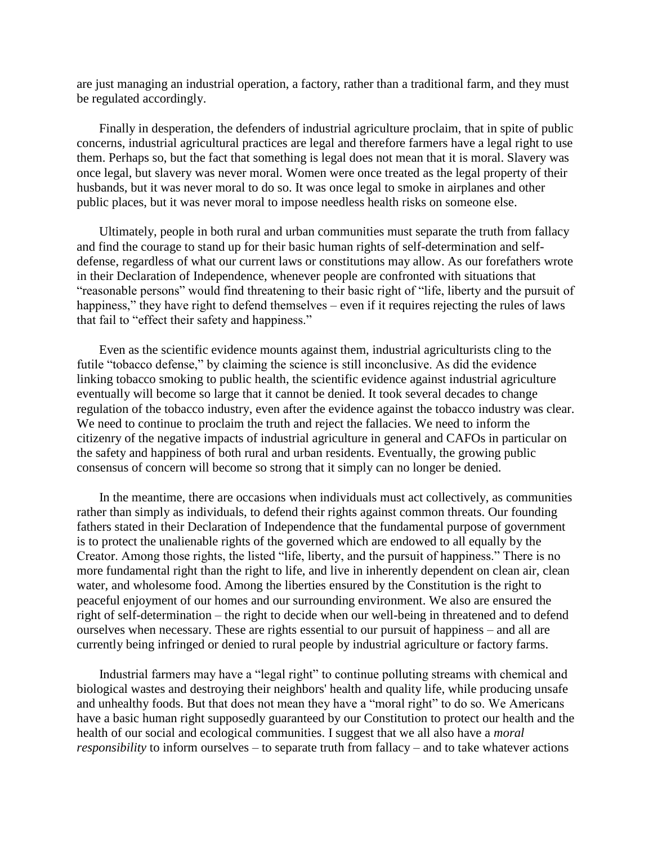are just managing an industrial operation, a factory, rather than a traditional farm, and they must be regulated accordingly.

Finally in desperation, the defenders of industrial agriculture proclaim, that in spite of public concerns, industrial agricultural practices are legal and therefore farmers have a legal right to use them. Perhaps so, but the fact that something is legal does not mean that it is moral. Slavery was once legal, but slavery was never moral. Women were once treated as the legal property of their husbands, but it was never moral to do so. It was once legal to smoke in airplanes and other public places, but it was never moral to impose needless health risks on someone else.

Ultimately, people in both rural and urban communities must separate the truth from fallacy and find the courage to stand up for their basic human rights of self-determination and selfdefense, regardless of what our current laws or constitutions may allow. As our forefathers wrote in their Declaration of Independence, whenever people are confronted with situations that "reasonable persons" would find threatening to their basic right of "life, liberty and the pursuit of happiness," they have right to defend themselves – even if it requires rejecting the rules of laws that fail to "effect their safety and happiness."

Even as the scientific evidence mounts against them, industrial agriculturists cling to the futile "tobacco defense," by claiming the science is still inconclusive. As did the evidence linking tobacco smoking to public health, the scientific evidence against industrial agriculture eventually will become so large that it cannot be denied. It took several decades to change regulation of the tobacco industry, even after the evidence against the tobacco industry was clear. We need to continue to proclaim the truth and reject the fallacies. We need to inform the citizenry of the negative impacts of industrial agriculture in general and CAFOs in particular on the safety and happiness of both rural and urban residents. Eventually, the growing public consensus of concern will become so strong that it simply can no longer be denied.

In the meantime, there are occasions when individuals must act collectively, as communities rather than simply as individuals, to defend their rights against common threats. Our founding fathers stated in their Declaration of Independence that the fundamental purpose of government is to protect the unalienable rights of the governed which are endowed to all equally by the Creator. Among those rights, the listed "life, liberty, and the pursuit of happiness." There is no more fundamental right than the right to life, and live in inherently dependent on clean air, clean water, and wholesome food. Among the liberties ensured by the Constitution is the right to peaceful enjoyment of our homes and our surrounding environment. We also are ensured the right of self-determination – the right to decide when our well-being in threatened and to defend ourselves when necessary. These are rights essential to our pursuit of happiness – and all are currently being infringed or denied to rural people by industrial agriculture or factory farms.

Industrial farmers may have a "legal right" to continue polluting streams with chemical and biological wastes and destroying their neighbors' health and quality life, while producing unsafe and unhealthy foods. But that does not mean they have a "moral right" to do so. We Americans have a basic human right supposedly guaranteed by our Constitution to protect our health and the health of our social and ecological communities. I suggest that we all also have a *moral responsibility* to inform ourselves – to separate truth from fallacy – and to take whatever actions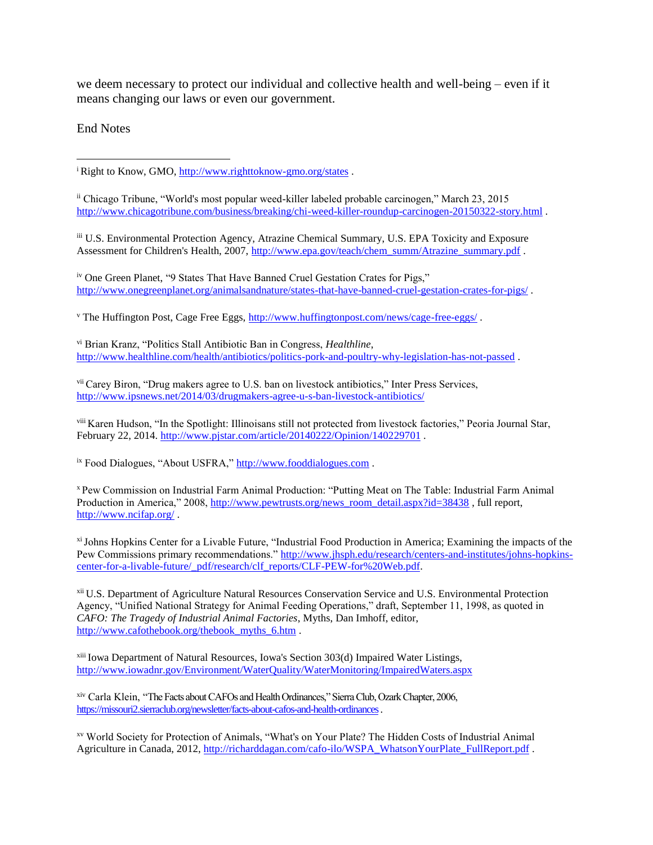we deem necessary to protect our individual and collective health and well-being – even if it means changing our laws or even our government.

End Notes

<sup>i</sup> Right to Know, GMO, [http://www.righttoknow-gmo.org/states](;http:/www.righttoknow-gmo.org/states).  $\overline{a}$ 

ii Chicago Tribune, "World's most popular weed-killer labeled probable carcinogen," March 23, 2015 [http://www.chicagotribune.com/business/breaking/chi-weed-killer-roundup-carcinogen-20150322-story.html](;http:/www.chicagotribune.com/business/breaking/chi-weed-killer-roundup-carcinogen-20150322-story.html) .

iii U.S. Environmental Protection Agency, Atrazine Chemical Summary, U.S. EPA Toxicity and Exposure Assessment for Children's Health, 2007[, http://www.epa.gov/teach/chem\\_summ/Atrazine\\_summary.pdf](;http:/www.epa.gov/teach/chem_summ/Atrazine_summary.pdf) .

iv One Green Planet, "9 States That Have Banned Cruel Gestation Crates for Pigs," [http://www.onegreenplanet.org/animalsandnature/states-that-have-banned-cruel-gestation-crates-for-pigs/](;http:/www.onegreenplanet.org/animalsandnature/states-that-have-banned-cruel-gestation-crates-for-pigs/) .

<sup>v</sup> The Huffington Post, Cage Free Eggs, [http://www.huffingtonpost.com/news/cage-free-eggs/](;http:/www.huffingtonpost.com/news/cage-free-eggs/) .

vi Brian Kranz, "Politics Stall Antibiotic Ban in Congress, *Healthline*, [http://www.healthline.com/health/antibiotics/politics-pork-and-poultry-why-legislation-has-not-passed](;http:/www.healthline.com/health/antibiotics/politics-pork-and-poultry-why-legislation-has-not-passed) .

vii Carey Biron, "Drug makers agree to U.S. ban on livestock antibiotics," Inter Press Services, [http://www.ipsnews.net/2014/03/drugmakers-agree-u-s-ban-livestock-antibiotics/](;http:/www.ipsnews.net/2014/03/drugmakers-agree-u-s-ban-livestock-antibiotics/)

viii Karen Hudson, "In the Spotlight: Illinoisans still not protected from livestock factories," Peoria Journal Star, February 22, 2014[. http://www.pjstar.com/article/20140222/Opinion/140229701](;http:/www.pjstar.com/article/20140222/Opinion/140229701) .

<sup>ix</sup> Food Dialogues, "About USFRA," [http://www.fooddialogues.com](;http:/www.fooddialogues.com) .

<sup>x</sup> Pew Commission on Industrial Farm Animal Production: "Putting Meat on The Table: Industrial Farm Animal Production in America," 2008, [http://www.pewtrusts.org/news\\_room\\_detail.aspx?id=38438](;http:/www.pewtrusts.org/news_room_detail.aspx?id=38438), full report, [http://www.ncifap.org/](;http:/www.ncifap.org/) .

xiJohns Hopkins Center for a Livable Future, "Industrial Food Production in America; Examining the impacts of the Pew Commissions primary recommendations." [http://www.jhsph.edu/research/centers-and-institutes/johns-hopkins](;http:/www.jhsph.edu/research/centers-and-institutes/johns-hopkins-center-for-a-livable-future/_pdf/research/clf_reports/CLF-PEW-for%20Web.pdf)[center-for-a-livable-future/\\_pdf/research/clf\\_reports/CLF-PEW-for%20Web.pdf.](;http:/www.jhsph.edu/research/centers-and-institutes/johns-hopkins-center-for-a-livable-future/_pdf/research/clf_reports/CLF-PEW-for%20Web.pdf)

<sup>xii</sup> U.S. Department of Agriculture Natural Resources Conservation Service and U.S. Environmental Protection Agency, "Unified National Strategy for Animal Feeding Operations," draft, September 11, 1998, as quoted in *CAFO: The Tragedy of Industrial Animal Factories*, Myths, Dan Imhoff, editor, [http://www.cafothebook.org/thebook\\_myths\\_6.htm](;http:/www.cafothebook.org/thebook_myths_6.htm) .

xiii Iowa Department of Natural Resources, Iowa's Section 303(d) Impaired Water Listings, [http://www.iowadnr.gov/Environment/WaterQuality/WaterMonitoring/ImpairedWaters.aspx](;http:/www.iowadnr.gov/Environment/WaterQuality/WaterMonitoring/ImpairedWaters.aspx)

xiv Carla Klein, "The Facts about CAFOs and Health Ordinances," Sierra Club, Ozark Chapter, 2006, [https://missouri2.sierraclub.org/newsletter/facts-about-cafos-and-health-ordinances.](;https:/missouri2.sierraclub.org/newsletter/facts-about-cafos-and-health-ordinances)

xv World Society for Protection of Animals, "What's on Your Plate? The Hidden Costs of Industrial Animal Agriculture in Canada, 2012, [http://richarddagan.com/cafo-ilo/WSPA\\_WhatsonYourPlate\\_FullReport.pdf](;http:/richarddagan.com/cafo-ilo/WSPA_WhatsonYourPlate_FullReport.pdf) .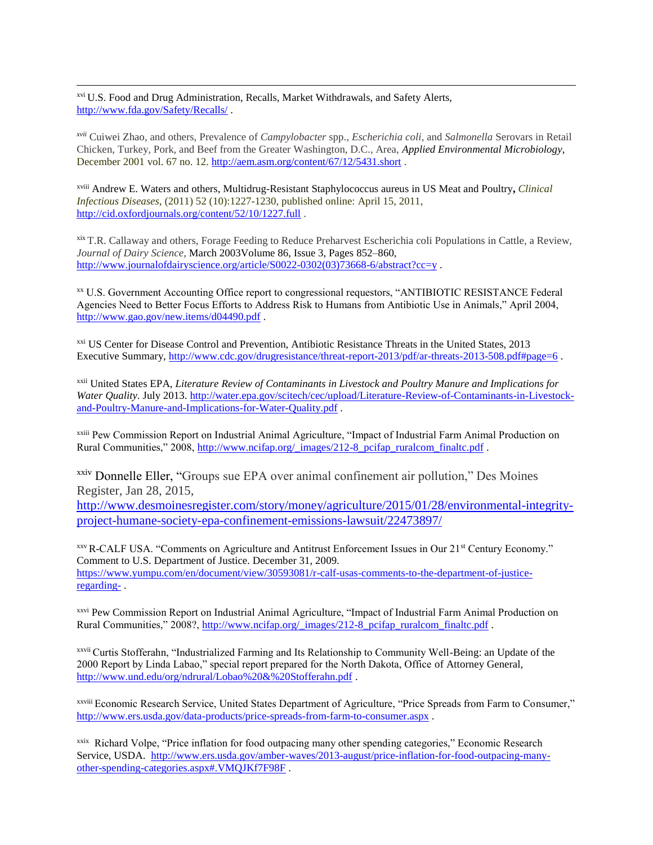xvi U.S. Food and Drug Administration, Recalls, Market Withdrawals, and Safety Alerts, [http://www.fda.gov/Safety/Recalls/](;http:/www.fda.gov/Safety/Recalls/) .

 $\overline{a}$ 

*xvii* [Cuiwei Zhao,](;http:/aem.asm.org/search?author1=Cuiwei+Zhao&sortspec=date&submit=Submit) and others, Prevalence of *Campylobacter* spp.*, Escherichia coli*, and *Salmonella* Serovars in Retail Chicken, Turkey, Pork, and Beef from the Greater Washington, D.C., Area, *Applied Environmental Microbiology*, December 2001 vol. 67 no. 12. [http://aem.asm.org/content/67/12/5431.short](;http:/aem.asm.org/content/67/12/5431.short) .

xviii [Andrew E. Waters](;http:/cid.oxfordjournals.org/search?author1=Andrew+E.+Waters&sortspec=date&submit=Submit) and others, Multidrug-Resistant Staphylococcus aureus in US Meat and Poultry**,** *Clinical Infectious Diseases*, (2011) 52 (10):1227-1230, published online: April 15, 2011, [http://cid.oxfordjournals.org/content/52/10/1227.full](;http:/cid.oxfordjournals.org/content/52/10/1227.full) .

xix T.R. Callaway and others, Forage Feeding to Reduce Preharvest Escherichia coli Populations in Cattle, a Review, *Journal of Dairy Science*, March 2003Volume 86, Issue 3, Pages 852–860, [http://www.journalofdairyscience.org/article/S0022-0302\(03\)73668-6/abstract?cc=y](;http:/www.journalofdairyscience.org/article/S0022-0302(03)73668-6/abstract?cc=y).

xx U.S. Government Accounting Office report to congressional requestors, "ANTIBIOTIC RESISTANCE Federal Agencies Need to Better Focus Efforts to Address Risk to Humans from Antibiotic Use in Animals," April 2004, [http://www.gao.gov/new.items/d04490.pdf](;http:/www.gao.gov/new.items/d04490.pdf) .

xxi US Center for Disease Control and Prevention, Antibiotic Resistance Threats in the United States, 2013 Executive Summary, [http://www.cdc.gov/drugresistance/threat-report-2013/pdf/ar-threats-2013-508.pdf#page=6](;http:/www.cdc.gov/drugresistance/threat-report-2013/pdf/ar-threats-2013-508.pdf#page=6) .

xxii United States EPA, *Literature Review of Contaminants in Livestock and Poultry Manure and Implications for Water Quality.* July 2013. [http://water.epa.gov/scitech/cec/upload/Literature-Review-of-Contaminants-in-Livestock](;http:/water.epa.gov/scitech/cec/upload/Literature-Review-of-Contaminants-in-Livestock-and-Poultry-Manure-and-Implications-for-Water-Quality.pdf)[and-Poultry-Manure-and-Implications-for-Water-Quality.pdf](;http:/water.epa.gov/scitech/cec/upload/Literature-Review-of-Contaminants-in-Livestock-and-Poultry-Manure-and-Implications-for-Water-Quality.pdf) .

xxiii Pew Commission Report on Industrial Animal Agriculture, "Impact of Industrial Farm Animal Production on Rural Communities," 2008, [http://www.ncifap.org/\\_images/212-8\\_pcifap\\_ruralcom\\_finaltc.pdf](;http:/www.ncifap.org/_images/212-8_pcifap_ruralcom_finaltc.pdf) .

xxiv Donnelle Eller, "Groups sue EPA over animal confinement air pollution," Des Moines Register, Jan 28, 2015,

[http://www.desmoinesregister.com/story/money/agriculture/2015/01/28/environmental-integrity](;http:/www.desmoinesregister.com/story/money/agriculture/2015/01/28/environmental-integrity-project-humane-society-epa-confinement-emissions-lawsuit/22473897/)[project-humane-society-epa-confinement-emissions-lawsuit/22473897/](;http:/www.desmoinesregister.com/story/money/agriculture/2015/01/28/environmental-integrity-project-humane-society-epa-confinement-emissions-lawsuit/22473897/)

xxvR-CALF USA. "Comments on Agriculture and Antitrust Enforcement Issues in Our 21st Century Economy." Comment to U.S. Department of Justice. December 31, 2009. [https://www.yumpu.com/en/document/view/30593081/r-calf-usas-comments-to-the-department-of-justice](;https:/www.yumpu.com/en/document/view/30593081/r-calf-usas-comments-to-the-department-of-justice-regarding-)[regarding-](;https:/www.yumpu.com/en/document/view/30593081/r-calf-usas-comments-to-the-department-of-justice-regarding-) .

xxvi Pew Commission Report on Industrial Animal Agriculture, "Impact of Industrial Farm Animal Production on Rural Communities," 2008?, [http://www.ncifap.org/\\_images/212-8\\_pcifap\\_ruralcom\\_finaltc.pdf](;http:/www.ncifap.org/_images/212-8_pcifap_ruralcom_finaltc.pdf) .

xxvii Curtis Stofferahn, "Industrialized Farming and Its Relationship to Community Well-Being: an Update of the 2000 Report by Linda Labao," special report prepared for the North Dakota, Office of Attorney General, [http://www.und.edu/org/ndrural/Lobao%20&%20Stofferahn.pdf](;http:/www.und.edu/org/ndrural/Lobao%20&%20Stofferahn.pdf) .

xxviii Economic Research Service, United States Department of Agriculture, "Price Spreads from Farm to Consumer," [http://www.ers.usda.gov/data-products/price-spreads-from-farm-to-consumer.aspx](;http:/www.ers.usda.gov/data-products/price-spreads-from-farm-to-consumer.aspx) .

<sup>xxix</sup> Richard Volpe, "Price inflation for food outpacing many other spending categories," Economic Research Service, USDA. [http://www.ers.usda.gov/amber-waves/2013-august/price-inflation-for-food-outpacing-many](;http:/www.ers.usda.gov/amber-waves/2013-august/price-inflation-for-food-outpacing-many-other-spending-categories.aspx#.VMQJKf7F98F)[other-spending-categories.aspx#.VMQJKf7F98F](;http:/www.ers.usda.gov/amber-waves/2013-august/price-inflation-for-food-outpacing-many-other-spending-categories.aspx#.VMQJKf7F98F) .